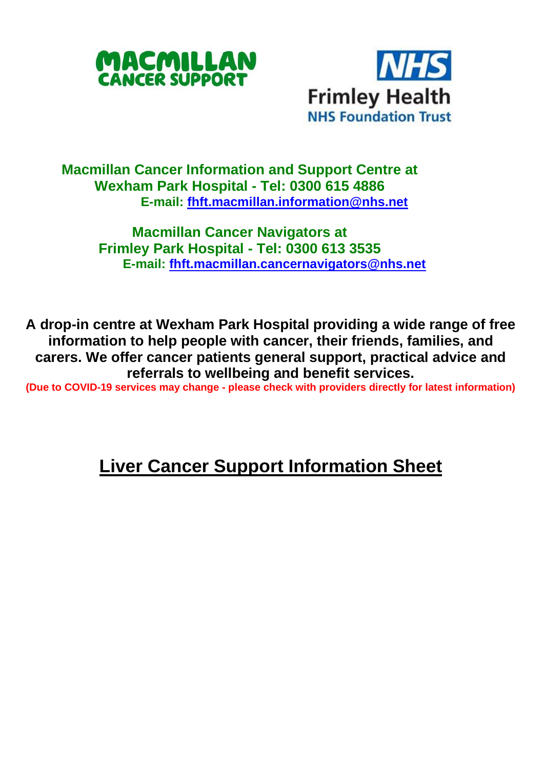



## **Macmillan Cancer Information and Support Centre at Wexham Park Hospital - Tel: 0300 615 4886 E-mail: [fhft.macmillan.information@nhs.net](mailto:fhft.macmillan.information@nhs.net)**

## **Macmillan Cancer Navigators at Frimley Park Hospital - Tel: 0300 613 3535 E-mail: [fhft.macmillan.cancernavigators@nhs.net](mailto:fhft.macmillan.cancernavigators@nhs.net)**

**A drop-in centre at Wexham Park Hospital providing a wide range of free information to help people with cancer, their friends, families, and carers. We offer cancer patients general support, practical advice and referrals to wellbeing and benefit services.**

**(Due to COVID-19 services may change - please check with providers directly for latest information)** 

## **Liver Cancer Support Information Sheet**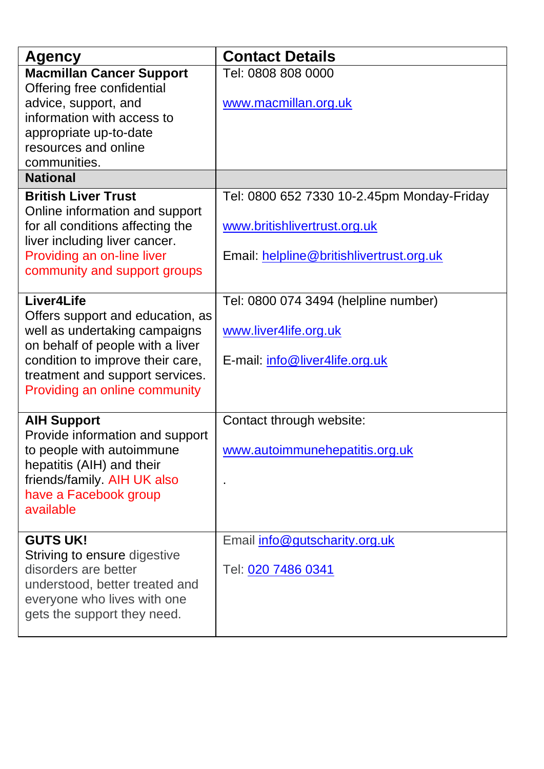| Agency                                                            | <b>Contact Details</b>                     |
|-------------------------------------------------------------------|--------------------------------------------|
| <b>Macmillan Cancer Support</b><br>Offering free confidential     | Tel: 0808 808 0000                         |
| advice, support, and                                              | www.macmillan.org.uk                       |
| information with access to                                        |                                            |
| appropriate up-to-date                                            |                                            |
| resources and online                                              |                                            |
| communities.<br><b>National</b>                                   |                                            |
|                                                                   |                                            |
| <b>British Liver Trust</b><br>Online information and support      | Tel: 0800 652 7330 10-2.45pm Monday-Friday |
| for all conditions affecting the                                  | www.britishlivertrust.org.uk               |
| liver including liver cancer.                                     |                                            |
| Providing an on-line liver                                        | Email: helpline@britishlivertrust.org.uk   |
| community and support groups                                      |                                            |
|                                                                   |                                            |
| Liver4Life                                                        | Tel: 0800 074 3494 (helpline number)       |
| Offers support and education, as                                  |                                            |
| well as undertaking campaigns<br>on behalf of people with a liver | www.liver4life.org.uk                      |
| condition to improve their care,                                  | E-mail: info@liver4life.org.uk             |
| treatment and support services.                                   |                                            |
| Providing an online community                                     |                                            |
|                                                                   |                                            |
| <b>AIH Support</b>                                                | Contact through website:                   |
| Provide information and support                                   |                                            |
| to people with autoimmune<br>hepatitis (AIH) and their            | www.autoimmunehepatitis.org.uk             |
| friends/family. AIH UK also                                       |                                            |
| have a Facebook group                                             |                                            |
| available                                                         |                                            |
|                                                                   |                                            |
| <b>GUTS UK!</b>                                                   | Email info@gutscharity.org.uk              |
| Striving to ensure digestive                                      |                                            |
| disorders are better<br>understood, better treated and            | Tel: 020 7486 0341                         |
| everyone who lives with one                                       |                                            |
| gets the support they need.                                       |                                            |
|                                                                   |                                            |